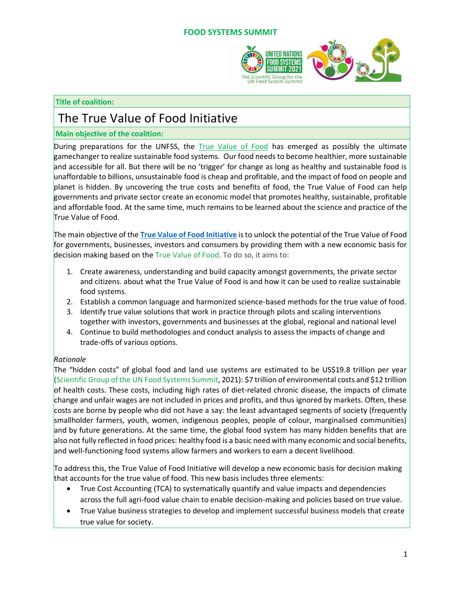#### **FOOD SYSTEMS SUMMIT**



#### **Title of coalition:**

# The True Value of Food Initiative

#### **Main objective of the coalition:**

During preparations for the UNFSS, the [True Value of Food](file:///C:/Users/u04159187/Downloads/True%20Value%20of%20Food) has emerged as possibly the ultimate gamechanger to realize sustainable food systems. Our food needs to become healthier, more sustainable and accessible for all. But there will be no 'trigger' for change as long as healthy and sustainable food is unaffordable to billions, unsustainable food is cheap and profitable, and the impact of food on people and planet is hidden. By uncovering the true costs and benefits of food, the True Value of Food can help governments and private sector create an economic model that promotes healthy, sustainable, profitable and affordable food. At the same time, much remains to be learned about the science and practice of the True Value of Food.

The main objective of the **[True Value of Food Initiative](https://sc-fss2021.org/2021/09/20/announcement-on-the-initiative-on-the-true-value-of-food/)** is to unlock the potential of the True Value of Food for governments, businesses, investors and consumers by providing them with a new economic basis for decision making based on the True [Value](https://sc-fss2021.org/wp-content/uploads/2021/09/QA_on_True_Value_of_Food.pdf) of Food. To do so, it aims to:

- 1. Create awareness, understanding and build capacity amongst governments, the private sector and citizens. about what the True Value of Food is and how it can be used to realize sustainable food systems.
- 2. Establish a common language and harmonized science-based methods for the true value of food.
- 3. Identify true value solutions that work in practice through pilots and scaling interventions together with investors, governments and businesses at the global, regional and national level
- 4. Continue to build methodologies and conduct analysis to assess the impacts of change and trade-offs of various options.

## *Rationale*

The "hidden costs" of global food and land use systems are estimated to be US\$19.8 trillion per year [\(Scientific](https://sc-fss2021.org/wp-content/uploads/2021/06/UNFSS_true_cost_of_food.pdf) Group of the UN Food Systems Summit, 2021): \$7 trillion of environmental costs and \$12 trillion of health costs. These costs, including high rates of diet-related chronic disease, the impacts of climate change and unfair wages are not included in prices and profits, and thus ignored by markets. Often, these costs are borne by people who did not have a say: the least advantaged segments of society (frequently smallholder farmers, youth, women, indigenous peoples, people of colour, marginalised communities) and by future generations. At the same time, the global food system has many hidden benefits that are also not fully reflected in food prices: healthy food is a basic need with many economic and social benefits, and well-functioning food systems allow farmers and workers to earn a decent livelihood.

To address this, the True Value of Food Initiative will develop a new economic basis for decision making that accounts for the true value of food. This new basis includes three elements:

- True Cost Accounting (TCA) to systematically quantify and value impacts and dependencies across the full agri-food value chain to enable decision-making and policies based on true value.
- True Value business strategies to develop and implement successful business models that create true value for society.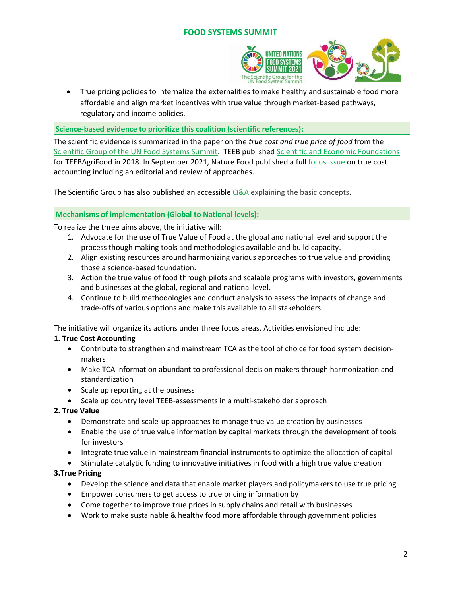# **FOOD SYSTEMS SUMMIT**



• True pricing policies to internalize the externalities to make healthy and sustainable food more affordable and align market incentives with true value through market-based pathways, regulatory and income policies.

**Science-based evidence to prioritize this coalition (scientific references):**

The scientific evidence is summarized in the paper on the *true cost and true price of food* from the [Scientific](https://sc-fss2021.org/wp-content/uploads/2021/06/UNFSS_true_cost_of_food.pdf) Group of the UN Food Systems Summit. TEEB publishe[d Scientific and Economic Foundations](http://teebweb.org/our-work/agrifood/reports/scientific-economic-foundations/) for TEEBAgriFood in 2018. In September 2021, Nature Food published a ful[l focus issue](https://www.nature.com/articles/s43016-021-00379-6) on true cost accounting including an editorial and review of approaches.

The Scientific Group has also published an accessible [Q&A](https://sc-fss2021.org/wp-content/uploads/2021/09/QA_on_True_Value_of_Food.pdf) explaining the basic concepts.

#### **Mechanisms of implementation (Global to National levels):**

To realize the three aims above, the initiative will:

- 1. Advocate for the use of True Value of Food at the global and national level and support the process though making tools and methodologies available and build capacity.
- 2. Align existing resources around harmonizing various approaches to true value and providing those a science-based foundation.
- 3. Action the true value of food through pilots and scalable programs with investors, governments and businesses at the global, regional and national level.
- 4. Continue to build methodologies and conduct analysis to assess the impacts of change and trade-offs of various options and make this available to all stakeholders.

The initiative will organize its actions under three focus areas. Activities envisioned include:

## **1. True Cost Accounting**

- Contribute to strengthen and mainstream TCA as the tool of choice for food system decisionmakers
- Make TCA information abundant to professional decision makers through harmonization and standardization
- Scale up reporting at the business
- Scale up country level TEEB-assessments in a multi-stakeholder approach

## **2. True Value**

- Demonstrate and scale-up approaches to manage true value creation by businesses
- Enable the use of true value information by capital markets through the development of tools for investors
- Integrate true value in mainstream financial instruments to optimize the allocation of capital
- Stimulate catalytic funding to innovative initiatives in food with a high true value creation

## **3.True Pricing**

- Develop the science and data that enable market players and policymakers to use true pricing
- Empower consumers to get access to true pricing information by
- Come together to improve true prices in supply chains and retail with businesses
- Work to make sustainable & healthy food more affordable through government policies